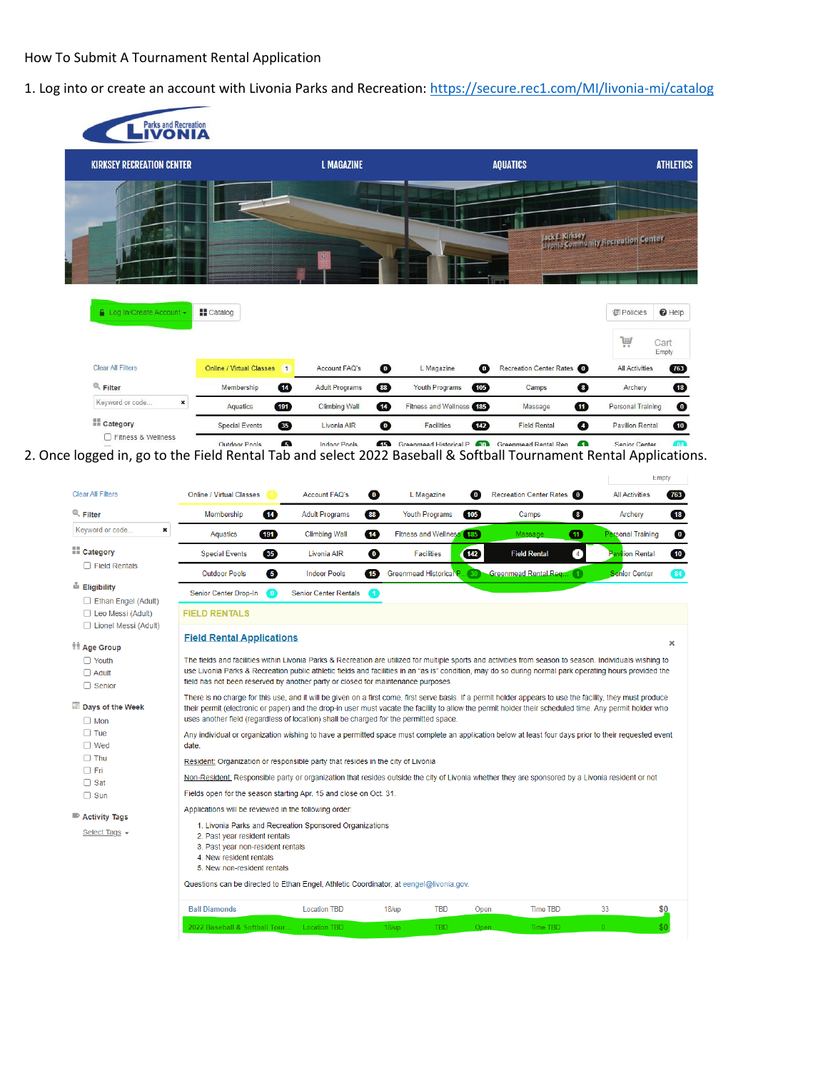### How To Submit A Tournament Rental Application

### 1. Log into or create an account with Livonia Parks and Recreation:<https://secure.rec1.com/MI/livonia-mi/catalog>

| <b>Parks and Recreation</b>               |                                                   |                                         |                                |                          |                                                        |
|-------------------------------------------|---------------------------------------------------|-----------------------------------------|--------------------------------|--------------------------|--------------------------------------------------------|
| <b>KIRKSEY RECREATION CENTER</b>          |                                                   | <b>L MAGAZINE</b>                       |                                | <b>AQUATICS</b>          | <b>ATHLETICS</b>                                       |
|                                           |                                                   | 柳                                       |                                |                          | Jack E. Kirksey<br>Livenia Community Recreation Center |
| Log In/Create Account -                   | <b>H</b> Catalog                                  |                                         |                                |                          | $\Theta$ Help<br><b>個 Policies</b>                     |
|                                           |                                                   |                                         |                                |                          | Ħ<br>Cart<br>Empty                                     |
| <b>Clear All Filters</b>                  | <b>Online / Virtual Classes</b><br>$\blacksquare$ | $\bullet$<br>Account FAQ's              | $\bullet$<br>L Magazine        | Recreation Center Rates  | 763<br><b>All Activities</b>                           |
| $Q$ Filter                                | $\bf \Phi$<br>Membership                          | $88$<br><b>Adult Programs</b>           | 105<br>Youth Programs          | $\bullet$<br>Camps       | $\overline{18}$<br>Archery                             |
| Keyword or code<br>×                      | 191<br>Aquatics                                   | $\overline{14}$<br><b>Climbing Wall</b> | Fitness and Wellness (185)     | ⊕<br>Massage             | $\bullet$<br><b>Personal Training</b>                  |
| <b>MIL</b> Category<br>Fitness & Wellness | 35<br><b>Special Events</b>                       | $\bullet$<br>Livonia AIR                | $\overline{142}$<br>Facilities | ❹<br><b>Field Rental</b> | $\overline{10}$<br><b>Pavilion Rental</b>              |
|                                           |                                                   |                                         |                                |                          |                                                        |

2. Once logged in, go to the Field Rental Tab and select 2022 Baseball & Softball Tournament Rental Applications.

|                                                                         |                                                                                                                                                                                       |                                                                                        |                                        |                           |                                                                                                                                                                                                                                                                                                                        |                          | Empty |
|-------------------------------------------------------------------------|---------------------------------------------------------------------------------------------------------------------------------------------------------------------------------------|----------------------------------------------------------------------------------------|----------------------------------------|---------------------------|------------------------------------------------------------------------------------------------------------------------------------------------------------------------------------------------------------------------------------------------------------------------------------------------------------------------|--------------------------|-------|
| <b>Clear All Filters</b>                                                | Online / Virtual Classes                                                                                                                                                              | Account FAQ's                                                                          | $\bullet$<br>L Magazine                | $\bullet$                 | Recreation Center Rates 0                                                                                                                                                                                                                                                                                              | <b>All Activities</b>    | (763) |
| $Q$ Filter                                                              | $\overline{14}$<br>Membership                                                                                                                                                         | <b>Adult Programs</b>                                                                  | 88<br><b>Youth Programs</b>            | 105)                      | $\overline{\mathbf{8}}$<br>Camps                                                                                                                                                                                                                                                                                       | Archery                  |       |
| Keyword or code<br>×                                                    | 191<br>Aquatics                                                                                                                                                                       | <b>Climbing Wall</b>                                                                   | $\overline{14}$                        | Fitness and Wellness (185 | ⋒<br>Massage                                                                                                                                                                                                                                                                                                           | <b>Personal Training</b> |       |
| <b>El</b> Category                                                      | 35 <sub>0</sub><br><b>Special Events</b>                                                                                                                                              | Livonia AIR                                                                            | $\bullet$<br><b>Facilities</b>         | $\boxed{142}$             | <b>Field Rental</b><br>$\overline{4}$                                                                                                                                                                                                                                                                                  | <b>Pavilion Rental</b>   |       |
| $\Box$ Field Rentals                                                    | $\bullet$<br><b>Outdoor Pools</b>                                                                                                                                                     | <b>Indoor Pools</b>                                                                    | $\sqrt{15}$<br>Greenmead Historical P. | $\left(30\right)$         | <b>Greenmead Rental Req.</b>                                                                                                                                                                                                                                                                                           | <b>Senior Center</b>     |       |
| Ligibility                                                              | Senior Center Drop-In<br>0                                                                                                                                                            | <b>Senior Center Rentals</b>                                                           | $\blacksquare$                         |                           |                                                                                                                                                                                                                                                                                                                        |                          |       |
| Ethan Engel (Adult)<br>$\Box$ Leo Messi (Adult)<br>Lionel Messi (Adult) | <b>FIELD RENTALS</b>                                                                                                                                                                  |                                                                                        |                                        |                           |                                                                                                                                                                                                                                                                                                                        |                          |       |
| <b><i>IT Age Group</i></b>                                              | <b>Field Rental Applications</b>                                                                                                                                                      |                                                                                        |                                        |                           |                                                                                                                                                                                                                                                                                                                        |                          |       |
| $\Box$ Youth<br>$\Box$ Adult<br>$\Box$ Senior                           |                                                                                                                                                                                       | field has not been reserved by another party or closed for maintenance purposes.       |                                        |                           | The fields and facilities within Livonia Parks & Recreation are utilized for multiple sports and activities from season to season. Individuals wishing to<br>use Livonia Parks & Recreation public athletic fields and facilities in an "as is" condition, may do so during normal park operating hours provided the   |                          |       |
| Days of the Week<br>$\Box$ Mon                                          |                                                                                                                                                                                       | uses another field (regardless of location) shall be charged for the permitted space.  |                                        |                           | There is no charge for this use, and it will be given on a first come, first serve basis. If a permit holder appears to use the facility, they must produce<br>their permit (electronic or paper) and the drop-in user must vacate the facility to allow the permit holder their scheduled time. Any permit holder who |                          |       |
| $\Box$ Tue<br>$\Box$ Wed                                                | date.                                                                                                                                                                                 |                                                                                        |                                        |                           | Any individual or organization wishing to have a permitted space must complete an application below at least four days prior to their requested event                                                                                                                                                                  |                          |       |
| $\Box$ Thu                                                              |                                                                                                                                                                                       | Resident: Organization or responsible party that resides in the city of Livonia        |                                        |                           |                                                                                                                                                                                                                                                                                                                        |                          |       |
| $\Box$ Fri<br>$\Box$ Sat                                                |                                                                                                                                                                                       |                                                                                        |                                        |                           | Non-Resident: Responsible party or organization that resides outside the city of Livonia whether they are sponsored by a Livonia resident or not                                                                                                                                                                       |                          |       |
| $\Box$ Sun                                                              |                                                                                                                                                                                       | Fields open for the season starting Apr. 15 and close on Oct. 31.                      |                                        |                           |                                                                                                                                                                                                                                                                                                                        |                          |       |
| <b>Activity Tags</b><br>Select Tags +                                   | Applications will be reviewed in the following order:<br>2. Past year resident rentals<br>3. Past year non-resident rentals<br>4. New resident rentals<br>5. New non-resident rentals | 1. Livonia Parks and Recreation Sponsored Organizations                                |                                        |                           |                                                                                                                                                                                                                                                                                                                        |                          |       |
|                                                                         |                                                                                                                                                                                       | Questions can be directed to Ethan Engel, Athletic Coordinator, at eengel@livonia.gov. |                                        |                           |                                                                                                                                                                                                                                                                                                                        |                          |       |
|                                                                         | <b>Ball Diamonds</b>                                                                                                                                                                  | <b>Location TBD</b>                                                                    | $18/\mathrm{up}$                       | <b>TBD</b>                | <b>Time TBD</b><br>Open                                                                                                                                                                                                                                                                                                | 33                       | \$0   |
|                                                                         | 2022 Baseball & Softball Tour                                                                                                                                                         | <b>Location TBD</b>                                                                    | 18/up                                  | <b>TBD</b>                | Time TBD<br>Open.                                                                                                                                                                                                                                                                                                      |                          | \$0   |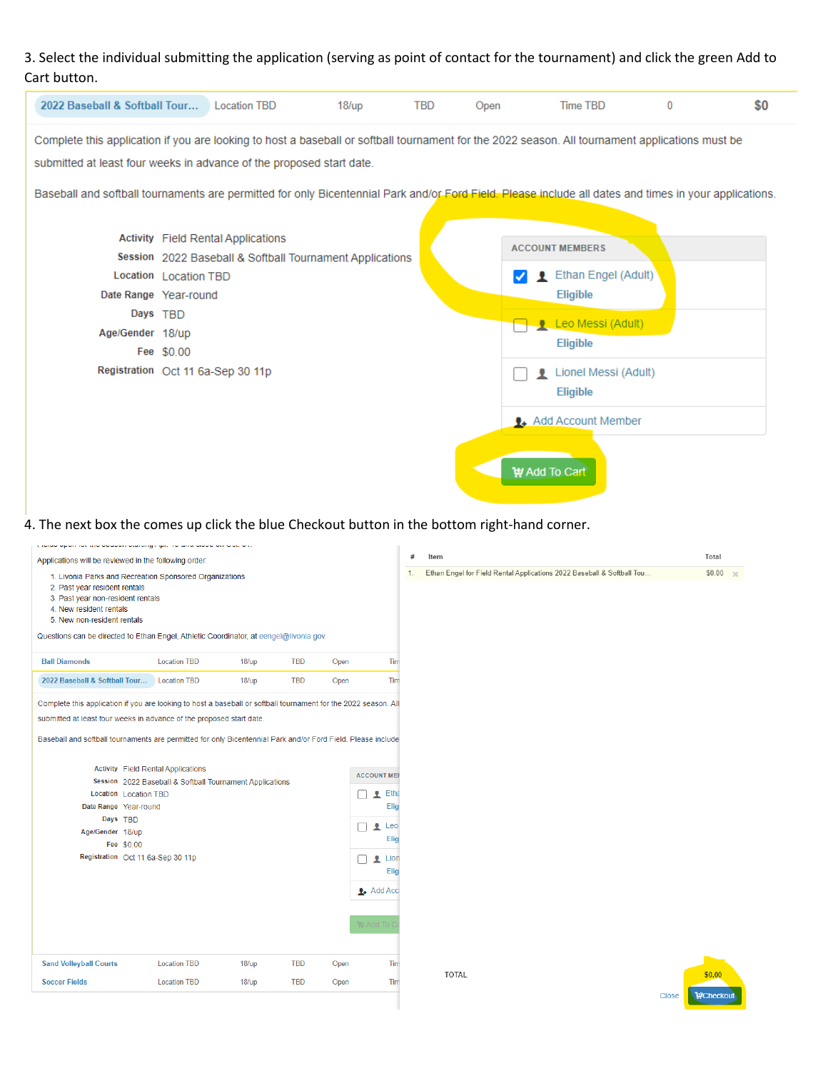## 3. Select the individual submitting the application (serving as point of contact for the tournament) and click the green Add to Cart button.

| 2022 Baseball & Softball Tour Location TBD                                                                                                                                                                                                                                                                                                                                       |                                                 |                                                                                                                                            | $18/\mathrm{up}$ | <b>TBD</b> | Open | Time TBD                                                                                                                                                                   | 0 | \$0 |
|----------------------------------------------------------------------------------------------------------------------------------------------------------------------------------------------------------------------------------------------------------------------------------------------------------------------------------------------------------------------------------|-------------------------------------------------|--------------------------------------------------------------------------------------------------------------------------------------------|------------------|------------|------|----------------------------------------------------------------------------------------------------------------------------------------------------------------------------|---|-----|
| Complete this application if you are looking to host a baseball or softball tournament for the 2022 season. All tournament applications must be<br>submitted at least four weeks in advance of the proposed start date.<br>Baseball and softball tournaments are permitted for only Bicentennial Park and/or Ford Field. Please include all dates and times in your applications |                                                 |                                                                                                                                            |                  |            |      |                                                                                                                                                                            |   |     |
| Date Range Year-round<br>Age/Gender 18/up                                                                                                                                                                                                                                                                                                                                        | Location Location TBD<br>Days TBD<br>Fee \$0.00 | <b>Activity</b> Field Rental Applications<br>Session 2022 Baseball & Softball Tournament Applications<br>Registration Oct 11 6a-Sep 30 11p |                  |            |      | <b>ACCOUNT MEMBERS</b><br>Ethan Engel (Adult)<br>Eligible<br><b>Leo Messi (Adult)</b><br>Eligible<br>Lionel Messi (Adult)<br>٠<br>Eligible<br><b>1.</b> Add Account Member |   |     |
|                                                                                                                                                                                                                                                                                                                                                                                  |                                                 |                                                                                                                                            |                  |            |      | ty Add To Cart                                                                                                                                                             |   |     |

# 4. The next box the comes up click the blue Checkout button in the bottom right-hand corner.

| Total<br>$\#$<br>Item<br>Applications will be reviewed in the following order:<br>Ethan Engel for Field Rental Applications 2022 Baseball & Softball Tou<br>1.<br>1. Livonia Parks and Recreation Sponsored Organizations<br>2. Past year resident rentals<br>3. Past year non-resident rentals<br>4. New resident rentals<br>5. New non-resident rentals<br>Questions can be directed to Ethan Engel, Athletic Coordinator, at eengel@livonia.gov.<br><b>Ball Diamonds</b><br><b>Location TBD</b><br>$18/\mathrm{up}$<br><b>TBD</b><br>Open<br>Tim<br>2022 Baseball & Softball Tour<br><b>TBD</b><br>Tim<br><b>Location TBD</b><br>$18/\text{up}$<br>Open<br>Complete this application if you are looking to host a baseball or softball tournament for the 2022 season. All<br>submitted at least four weeks in advance of the proposed start date.<br>Baseball and softball tournaments are permitted for only Bicentennial Park and/or Ford Field. Please include<br><b>Activity</b> Field Rental Applications<br><b>ACCOUNT MEI</b><br>Session 2022 Baseball & Softball Tournament Applications<br>Etha<br>Location Location TBD<br>л<br>Date Range Year-round<br>Elig<br>Days TBD<br>Leo<br>土<br>Age/Gender 18/up<br>Elig<br>Fee \$0.00<br>Registration Oct 11 6a-Sep 30 11p<br>Lion<br>土<br>Elig<br>$\frac{1}{2}$ Add Acc<br>te Add To<br><b>Sand Volleyball Courts</b><br><b>TBD</b><br><b>Location TBD</b><br>Open<br>Tim<br>18/up<br><b>TOTAL</b><br>\$0.00<br><b>TBD</b><br><b>Soccer Fields</b><br><b>Location TBD</b><br>Tim<br>$18/\mathrm{up}$<br>Open | upun nu anu uuuuun uaarang mpi. Tu umu unuu un wuc u ri |  |  |  |                |
|-----------------------------------------------------------------------------------------------------------------------------------------------------------------------------------------------------------------------------------------------------------------------------------------------------------------------------------------------------------------------------------------------------------------------------------------------------------------------------------------------------------------------------------------------------------------------------------------------------------------------------------------------------------------------------------------------------------------------------------------------------------------------------------------------------------------------------------------------------------------------------------------------------------------------------------------------------------------------------------------------------------------------------------------------------------------------------------------------------------------------------------------------------------------------------------------------------------------------------------------------------------------------------------------------------------------------------------------------------------------------------------------------------------------------------------------------------------------------------------------------------------------------------------------------------------------------|---------------------------------------------------------|--|--|--|----------------|
|                                                                                                                                                                                                                                                                                                                                                                                                                                                                                                                                                                                                                                                                                                                                                                                                                                                                                                                                                                                                                                                                                                                                                                                                                                                                                                                                                                                                                                                                                                                                                                       |                                                         |  |  |  |                |
|                                                                                                                                                                                                                                                                                                                                                                                                                                                                                                                                                                                                                                                                                                                                                                                                                                                                                                                                                                                                                                                                                                                                                                                                                                                                                                                                                                                                                                                                                                                                                                       |                                                         |  |  |  | $$0.00 \times$ |
|                                                                                                                                                                                                                                                                                                                                                                                                                                                                                                                                                                                                                                                                                                                                                                                                                                                                                                                                                                                                                                                                                                                                                                                                                                                                                                                                                                                                                                                                                                                                                                       |                                                         |  |  |  |                |
|                                                                                                                                                                                                                                                                                                                                                                                                                                                                                                                                                                                                                                                                                                                                                                                                                                                                                                                                                                                                                                                                                                                                                                                                                                                                                                                                                                                                                                                                                                                                                                       |                                                         |  |  |  |                |
|                                                                                                                                                                                                                                                                                                                                                                                                                                                                                                                                                                                                                                                                                                                                                                                                                                                                                                                                                                                                                                                                                                                                                                                                                                                                                                                                                                                                                                                                                                                                                                       |                                                         |  |  |  |                |
|                                                                                                                                                                                                                                                                                                                                                                                                                                                                                                                                                                                                                                                                                                                                                                                                                                                                                                                                                                                                                                                                                                                                                                                                                                                                                                                                                                                                                                                                                                                                                                       |                                                         |  |  |  |                |
| <b>WCheckout</b><br>Close                                                                                                                                                                                                                                                                                                                                                                                                                                                                                                                                                                                                                                                                                                                                                                                                                                                                                                                                                                                                                                                                                                                                                                                                                                                                                                                                                                                                                                                                                                                                             |                                                         |  |  |  |                |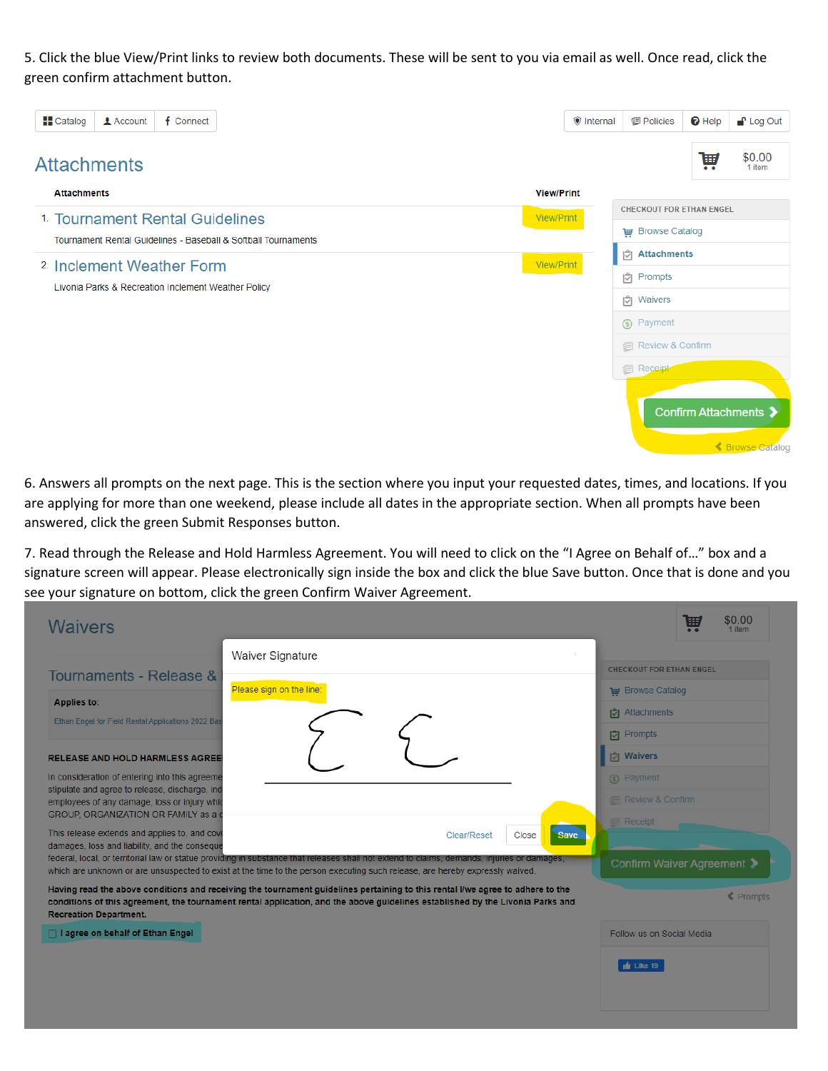5. Click the blue View/Print links to review both documents. These will be sent to you via email as well. Once read, click the green confirm attachment button.

| <b>H</b> Catalog   | <b>1</b> Account                                    | f Connect |                                                                |  |                   | <b>O</b> Internal | <b>图 Policies</b>               | $\Theta$ Help | $\blacksquare$ Log Out                    |
|--------------------|-----------------------------------------------------|-----------|----------------------------------------------------------------|--|-------------------|-------------------|---------------------------------|---------------|-------------------------------------------|
| <b>Attachments</b> |                                                     |           |                                                                |  |                   |                   |                                 | W             | \$0.00<br>1 item                          |
| <b>Attachments</b> |                                                     |           |                                                                |  | <b>View/Print</b> |                   |                                 |               |                                           |
|                    | <sup>1</sup> Tournament Rental Guidelines           |           |                                                                |  | <b>View/Print</b> |                   | <b>CHECKOUT FOR ETHAN ENGEL</b> |               |                                           |
|                    |                                                     |           | Tournament Rental Guidelines - Baseball & Softball Tournaments |  |                   |                   | <b>THE Browse Catalog</b>       |               |                                           |
|                    | <sup>2</sup> Inclement Weather Form                 |           |                                                                |  | View/Print        |                   | hattachments                    |               |                                           |
|                    |                                                     |           |                                                                |  |                   |                   | <b>C</b> Prompts                |               |                                           |
|                    | Livonia Parks & Recreation Inclement Weather Policy |           |                                                                |  |                   |                   | <b>同 Waivers</b>                |               |                                           |
|                    |                                                     |           |                                                                |  |                   |                   | (5) Payment                     |               |                                           |
|                    |                                                     |           |                                                                |  |                   |                   | 1 Review & Confirm              |               |                                           |
|                    |                                                     |           |                                                                |  |                   |                   | <b>图 Receipt</b>                |               |                                           |
|                    |                                                     |           |                                                                |  |                   |                   |                                 |               | Confirm Attachments ><br>← Browse Catalog |

6. Answers all prompts on the next page. This is the section where you input your requested dates, times, and locations. If you are applying for more than one weekend, please include all dates in the appropriate section. When all prompts have been answered, click the green Submit Responses button.

7. Read through the Release and Hold Harmless Agreement. You will need to click on the "I Agree on Behalf of…" box and a signature screen will appear. Please electronically sign inside the box and click the blue Save button. Once that is done and you see your signature on bottom, click the green Confirm Waiver Agreement.

| Waiver Signature<br>$\!\times\!$<br><b>Tournaments - Release &amp;</b><br>Please sign on the line:<br><b>THE Browse Catalog</b><br><b>Applies to:</b><br><b>D</b> Attachments<br>Ethan Engel for Field Rental Applications 2022 Bas<br><b>D</b> Prompts<br><b>C</b> Waivers<br><b>RELEASE AND HOLD HARMLESS AGREE</b>                                       | <b>CHECKOUT FOR ETHAN ENGEL</b> |
|-------------------------------------------------------------------------------------------------------------------------------------------------------------------------------------------------------------------------------------------------------------------------------------------------------------------------------------------------------------|---------------------------------|
|                                                                                                                                                                                                                                                                                                                                                             |                                 |
|                                                                                                                                                                                                                                                                                                                                                             |                                 |
|                                                                                                                                                                                                                                                                                                                                                             |                                 |
|                                                                                                                                                                                                                                                                                                                                                             |                                 |
|                                                                                                                                                                                                                                                                                                                                                             |                                 |
| In consideration of entering into this agreeme<br>(s) Payment                                                                                                                                                                                                                                                                                               |                                 |
| stipulate and agree to release, discharge, ind<br><b>Review &amp; Confirm</b><br>employees of any damage, loss or injury which                                                                                                                                                                                                                              |                                 |
| GROUP, ORGANIZATION OR FAMILY as a d<br><b>图 Receipt</b><br>This release extends and applies to, and cove<br>Save                                                                                                                                                                                                                                           |                                 |
| Close<br><b>Clear/Reset</b><br>damages, loss and liability, and the conseque<br>federal, local, or territorial law or statue providing in substance that releases shall not extend to claims, demands, injuries or damages,<br>which are unknown or are unsuspected to exist at the time to the person executing such release, are hereby expressly waived. | Confirm Waiver Agreement >      |
| Having read the above conditions and receiving the tournament guidelines pertaining to this rental I/we agree to adhere to the<br>conditions of this agreement, the tournament rental application, and the above guidelines established by the Livonia Parks and<br><b>Recreation Department.</b>                                                           | <b>≮</b> Prompts                |
| □ I agree on behalf of Ethan Engel                                                                                                                                                                                                                                                                                                                          | Follow us on Social Media       |
| $\frac{1}{2}$ Like 19                                                                                                                                                                                                                                                                                                                                       |                                 |